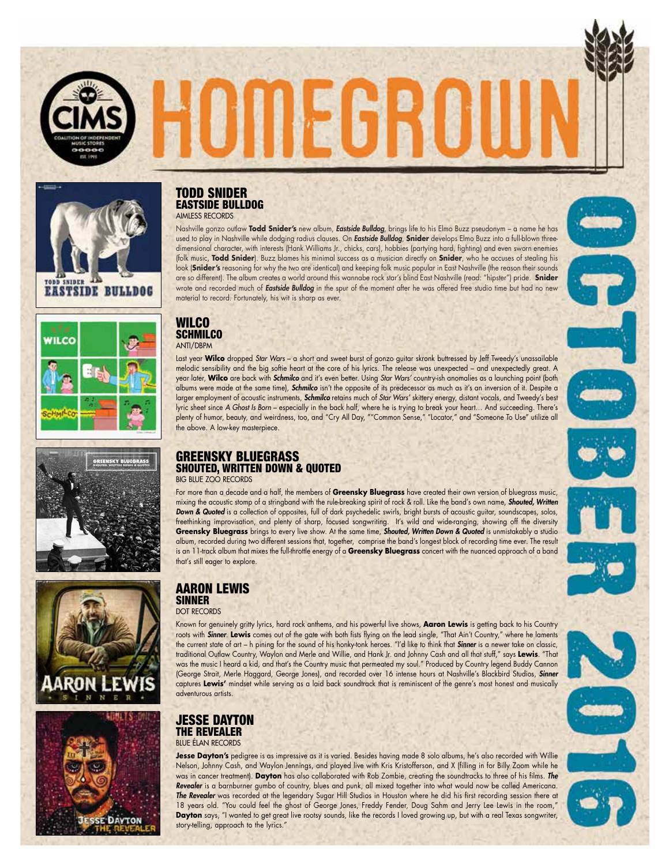











#### TODD SNIDER EASTSIDE BULLDOG AIMLESS RECORDS

Nashville gonzo outlaw **Todd Snider's** new album, *Eastside Bulldog*, brings life to his Elmo Buzz pseudonym – a name he has used to play in Nashville while dodging radius clauses. On *Eastside Bulldog*, **Snider** develops Elmo Buzz into a full-blown threedimensional character, with interests (Hank Williams Jr., chicks, cars), hobbies (partying hard, fighting) and even sworn enemies (folk music, **Todd Snider**). Buzz blames his minimal success as a musician directly on **Snider**, who he accuses of stealing his look (**Snider's** reasoning for why the two are identical) and keeping folk music popular in East Nashville (the reason their sounds are so different). The album creates a world around this wannabe rock star's blind East Nashville (read: "hipster") pride. **Snider** wrote and recorded much of *Eastside Bulldog* in the spur of the moment after he was offered free studio time but had no new material to record. Fortunately, his wit is sharp as ever.

**IIIEHEK** 

#### WILCO **SCHMILCO** ANTI/DBPM

Last year **Wilco** dropped *Star Wars* – a short and sweet burst of gonzo guitar skronk buttressed by Jeff Tweedy's unassailable melodic sensibility and the big softie heart at the core of his lyrics. The release was unexpected – and unexpectedly great. A year later, **Wilco** are back with *Schmilco* and it's even better. Using *Star Wars'* country-ish anomalies as a launching point (both albums were made at the same time), *Schmilco* isn't the opposite of its predecessor as much as it's an inversion of it. Despite a larger employment of acoustic instruments, *Schmilco* retains much of *Star Wars'* skittery energy, distant vocals, and Tweedy's best lyric sheet since *A Ghost Is Born* – especially in the back half, where he is trying to break your heart… And succeeding. There's plenty of humor, beauty, and weirdness, too, and "Cry All Day, ""Common Sense," "Locator," and "Someone To Use" utilize all the above. A low-key masterpiece.

#### GREENSKY BLUEGRASS SHOUTED, WRITTEN DOWN & QUOTED BIG BLUE ZOO RECORDS

For more than a decade and a half, the members of **Greensky Bluegrass** have created their own version of bluegrass music, mixing the acoustic stomp of a stringband with the rule-breaking spirit of rock & roll. Like the band's own name, *Shouted, Written Down & Quoted* is a collection of opposites, full of dark psychedelic swirls, bright bursts of acoustic guitar, soundscapes, solos, freethinking improvisation, and plenty of sharp, focused songwriting. It's wild and wide-ranging, showing off the diversity **Greensky Bluegrass** brings to every live show. At the same time, *Shouted, Written Down & Quoted* is unmistakably a studio album, recorded during two different sessions that, together, comprise the band's longest block of recording time ever. The result is an 11-track album that mixes the full-throttle energy of a **Greensky Bluegrass** concert with the nuanced approach of a band that's still eager to explore.

# AARON LEWIS **SINNER**

DOT RECORDS

Known for genuinely gritty lyrics, hard rock anthems, and his powerful live shows, **Aaron Lewis** is getting back to his Country roots with *Sinner*. **Lewis** comes out of the gate with both fists flying on the lead single, "That Ain't Country," where he laments the current state of art – h pining for the sound of his honky-tonk heroes. "I'd like to think that *Sinner* is a newer take on classic, traditional Outlaw Country, Waylon and Merle and Willie, and Hank Jr. and Johnny Cash and all that stuff," says **Lewis**. "That was the music I heard a kid, and that's the Country music that permeated my soul." Produced by Country legend Buddy Cannon (George Strait, Merle Haggard, George Jones), and recorded over 16 intense hours at Nashville's Blackbird Studios, *Sinner* captures **Lewis'** mindset while serving as a laid back soundtrack that is reminiscent of the genre's most honest and musically adventurous artists.

#### JESSE DAYTON THE REVEALER BLUE ÉLAN RECORDS

**Jesse Dayton's** pedigree is as impressive as it is varied. Besides having made 8 solo albums, he's also recorded with Willie Nelson, Johnny Cash, and Waylon Jennings, and played live with Kris Kristofferson, and X (filling in for Billy Zoom while he was in cancer treatment). **Dayton** has also collaborated with Rob Zombie, creating the soundtracks to three of his films. *The Revealer* is a barnburner gumbo of country, blues and punk, all mixed together into what would now be called Americana. *The Revealer* was recorded at the legendary Sugar Hill Studios in Houston where he did his first recording session there at 18 years old. "You could feel the ghost of George Jones, Freddy Fender, Doug Sahm and Jerry Lee Lewis in the room," **Dayton** says, "I wanted to get great live rootsy sounds, like the records I loved growing up, but with a real Texas songwriter, story-telling, approach to the lyrics."

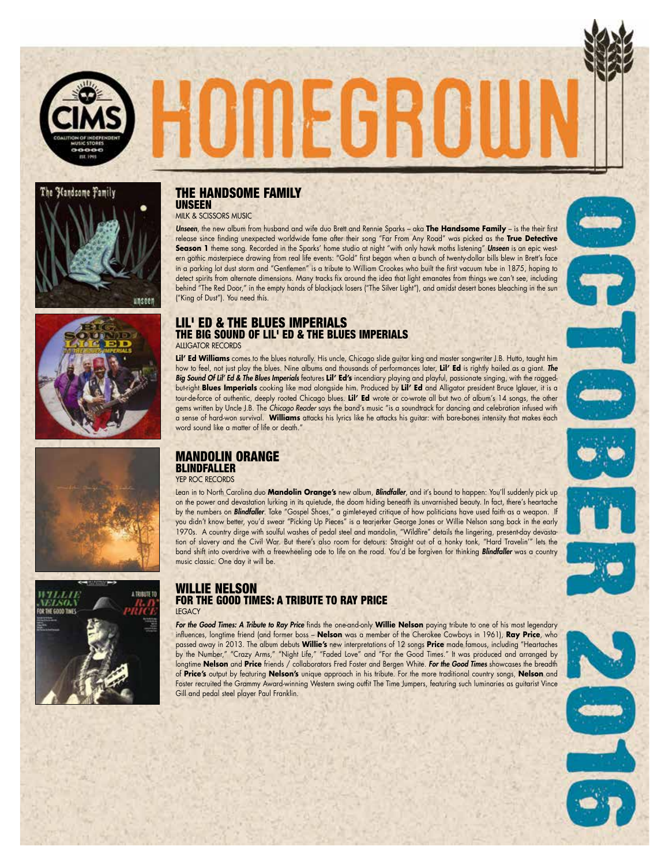









## THE HANDSOME FAMILY UNSEEN

MILK & SCISSORS MUSIC

*Unseen*, the new album from husband and wife duo Brett and Rennie Sparks – aka **The Handsome Family** – is the their first release since finding unexpected worldwide fame after their song "Far From Any Road" was picked as the **True Detective Season 1** theme song. Recorded in the Sparks' home studio at night "with only hawk moths listening" *Unseen* is an epic western gothic masterpiece drawing from real life events: "Gold" first began when a bunch of twenty-dollar bills blew in Brett's face in a parking lot dust storm and "Gentlemen" is a tribute to William Crookes who built the first vacuum tube in 1875, hoping to detect spirits from alternate dimensions. Many tracks fix around the idea that light emanates from things we can't see, including behind "The Red Door," in the empty hands of blackjack losers ("The Silver Light"), and amidst desert bones bleaching in the sun ("King of Dust"). You need this.

**IIIEHE** 

#### LIL' ED & THE BLUES IMPERIALS THE BIG SOUND OF LIL' ED & THE BLUES IMPERIALS ALLIGATOR RECORDS

**Lil' Ed Williams** comes to the blues naturally. His uncle, Chicago slide guitar king and master songwriter J.B. Hutto, taught him how to feel, not just play the blues. Nine albums and thousands of performances later, **Lil' Ed** is rightly hailed as a giant. *The Big Sound Of Lil' Ed & The Blues Imperials* features **Lil' Ed's** incendiary playing and playful, passionate singing, with the raggedbut-right **Blues Imperials** cooking like mad alongside him. Produced by **Lil' Ed** and Alligator president Bruce Iglauer, it is a tour-de-force of authentic, deeply rooted Chicago blues. **Lil' Ed** wrote or co-wrote all but two of album's 14 songs, the other gems written by Uncle J.B. The *Chicago Reader* says the band's music "is a soundtrack for dancing and celebration infused with a sense of hard-won survival. **Williams** attacks his lyrics like he attacks his guitar: with bare-bones intensity that makes each word sound like a matter of life or death."

# MANDOLIN ORANGE BLINDFALLER

YEP ROC RECORDS

Lean in to North Carolina duo **Mandolin Orange's** new album, *Blindfaller*, and it's bound to happen: You'll suddenly pick up on the power and devastation lurking in its quietude, the doom hiding beneath its unvarnished beauty. In fact, there's heartache by the numbers on *Blindfaller*. Take "Gospel Shoes," a gimlet-eyed critique of how politicians have used faith as a weapon. If you didn't know better, you'd swear "Picking Up Pieces" is a tearjerker George Jones or Willie Nelson sang back in the early 1970s. A country dirge with soulful washes of pedal steel and mandolin, "Wildfire" details the lingering, present-day devastation of slavery and the Civil War. But there's also room for detours: Straight out of a honky tonk, "Hard Travelin'" lets the band shift into overdrive with a freewheeling ode to life on the road. You'd be forgiven for thinking *Blindfaller* was a country music classic. One day it will be.

#### WILLIE NELSON FOR THE GOOD TIMES: A TRIBUTE TO RAY PRICE **LEGACY**

*For the Good Times: A Tribute to Ray Price* finds the one-and-only **Willie Nelson** paying tribute to one of his most legendary influences, longtime friend (and former boss – **Nelson** was a member of the Cherokee Cowboys in 1961), **Ray Price**, who passed away in 2013. The album debuts **Willie's** new interpretations of 12 songs **Price** made famous, including "Heartaches by the Number," "Crazy Arms," "Night Life," "Faded Love" and "For the Good Times." It was produced and arranged by longtime **Nelson** and **Price** friends / collaborators Fred Foster and Bergen White. *For the Good Times* showcases the breadth of **Price's** output by featuring **Nelson's** unique approach in his tribute. For the more traditional country songs, **Nelson** and Foster recruited the Grammy Award-winning Western swing outfit The Time Jumpers, featuring such luminaries as guitarist Vince Gill and pedal steel player Paul Franklin.





he Handsome Family